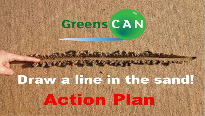# **Greens CAN**

THE R. P. LEWIS CO., LANSING MICH.

# Draw a line in the sand! Action Plan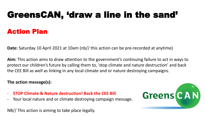# GreensCAN, 'draw a line in the sand' Action Plan

**Date:** Saturday 10 April 2021 at 10am (nb// this action can be pre-recorded at anytime)

**Aim:** This action aims to draw attention to the government's continuing failure to act in ways to protect our children's future by calling them to, 'stop climate and nature destruction' and back the CEE Bill as well as linking in any local climate and or nature destroying campaigns.

#### **The action message(s):**

- **STOP Climate & Nature destruction! Back the CEE Bill**
- Your local nature and or climate destroying campaign message.

NB// This action is aiming to take place legally.

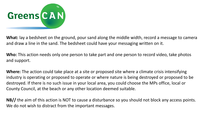

**What:** lay a bedsheet on the ground, pour sand along the middle width, record a message to camera and draw a line in the sand. The bedsheet could have your messaging written on it.

**Who:** This action needs only one person to take part and one person to record video, take photos and support.

**Where:** The action could take place at a site or proposed site where a climate crisis intensifying industry is operating or proposed to operate or where nature is being destroyed or proposed to be destroyed. If there is no such issue in your local area, you could choose the MPs office, local or County Council, at the beach or any other location deemed suitable.

**NB//** the aim of this action is NOT to cause a disturbance so you should not block any access points. We do not wish to distract from the important messages.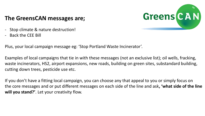

#### **The GreensCAN messages are;**

- Stop climate & nature destruction!
- Back the CEE Bill

Plus, your local campaign message eg: 'Stop Portland Waste Incinerator'.

Examples of local campaigns that tie in with these messages (not an exclusive list); oil wells, fracking, waste incinerators, HS2, airport expansions, new roads, building on green sites, substandard building, cutting down trees, pesticide use etc.

If you don't have a fitting local campaign, you can choose any that appeal to you or simply focus on the core messages and or put different messages on each side of the line and ask**, 'what side of the line will you stand?'**. Let your creativity flow.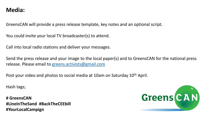#### **Media:**

GreensCAN will provide a press release template, key notes and an optional script.

You could invite your local TV broadcaster(s) to attend.

Call into local radio stations and deliver your messages.

Send the press release and your image to the local paper(s) and to GreensCAN for the national press release. Please email to [greens.activists@gmail.com](mailto:greens.activists@gmail.com)

Post your video and photos to social media at 10am on Saturday 10<sup>th</sup> April.

Hash tags;

**# GreensCAN #LineInTheSand #BackTheCEEbill #YourLocalCampign**

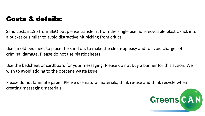### Costs & details:

Sand costs £1.95 from B&Q but please transfer it from the single use non-recyclable plastic sack into a bucket or similar to avoid distractive nit picking from critics.

Use an old bedsheet to place the sand on, to make the clean-up easy and to avoid charges of criminal damage. Please do not use plastic sheets.

Use the bedsheet or cardboard for your messaging. Please do not buy a banner for this action. We wish to avoid adding to the obscene waste issue.

Please do not laminate paper. Please use natural materials, think re-use and think recycle when creating messaging materials.

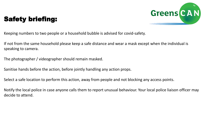

## Safety briefing:

Keeping numbers to two people or a household bubble is advised for covid-safety.

If not from the same household please keep a safe distance and wear a mask except when the individual is speaking to camera.

The photographer / videographer should remain masked.

Sanitise hands before the action, before jointly handling any action props.

Select a safe location to perform this action, away from people and not blocking any access points.

Notify the local police in case anyone calls them to report unusual behaviour. Your local police liaison officer may decide to attend.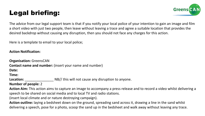## Legal briefing:



The advice from our legal support team is that if you notify your local police of your intention to gain an image and film a short video with just two people, then leave without leaving a trace and agree a suitable location that provides the desired backdrop without causing any disruption, then you should not face any charges for this action.

Here is a template to email to your local police;

#### **Action Notification:**

**Organisation:** GreensCAN **Contact name and number:** (insert your name and number) **Date: Time: Location:** \_\_\_\_\_\_\_\_\_\_\_\_\_\_\_ NB// this will not cause any disruption to anyone. **Number of people:** 2

**Action Aim:** This action aims to capture an image to accompany a press release and to record a video whilst delivering a speech to be shared on social media and to local TV and radio stations.

(insert local climate and or nature destroying campaign).

**Action outline:** laying a bedsheet down on the ground, spreading sand across it, drawing a line in the sand whilst delivering a speech, pose for a photo, scoop the sand up in the bedsheet and walk away without leaving any trace.